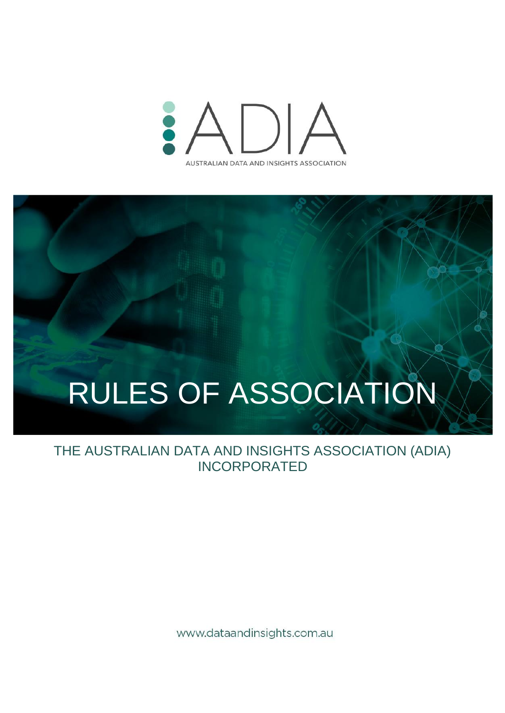

# RULES OF ASSOCIATION

THE AUSTRALIAN DATA AND INSIGHTS ASSOCIATION (ADIA) INCORPORATED

www.dataandinsights.com.au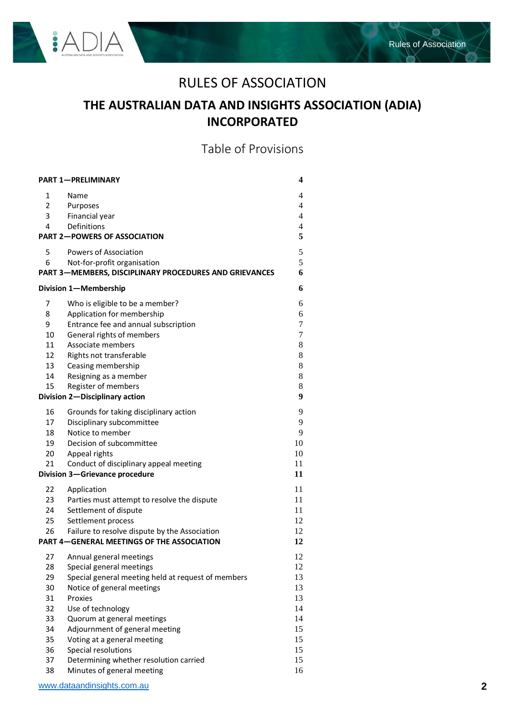

es.

# RULES OF ASSOCIATION

# **THE AUSTRALIAN DATA AND INSIGHTS ASSOCIATION (ADIA) INCORPORATED**

Table of Provisions

| <b>PART 1-PRELIMINARY</b>                               |                                                        |                     |  |
|---------------------------------------------------------|--------------------------------------------------------|---------------------|--|
| 1                                                       | Name                                                   | 4                   |  |
| $2^{\circ}$                                             | Purposes                                               | $\overline{4}$      |  |
| 3                                                       | Financial year                                         | $\overline{4}$      |  |
| 4                                                       | Definitions                                            | $\overline{4}$<br>5 |  |
| <b>PART 2-POWERS OF ASSOCIATION</b>                     |                                                        |                     |  |
| 5                                                       | <b>Powers of Association</b>                           | 5                   |  |
| 6                                                       | Not-for-profit organisation                            | 5                   |  |
|                                                         | PART 3-MEMBERS, DISCIPLINARY PROCEDURES AND GRIEVANCES | 6                   |  |
| Division 1-Membership                                   |                                                        |                     |  |
| 7                                                       | Who is eligible to be a member?                        | 6                   |  |
| 8                                                       | Application for membership                             | 6                   |  |
| 9                                                       | Entrance fee and annual subscription                   | 7                   |  |
| 10                                                      | General rights of members                              | 7                   |  |
| 11                                                      | Associate members                                      | 8                   |  |
| 12                                                      | Rights not transferable                                | 8                   |  |
| 13                                                      | Ceasing membership                                     | 8                   |  |
| 14                                                      | Resigning as a member                                  | $8\,$               |  |
| 15                                                      | Register of members                                    | $8\,$               |  |
| 9<br>Division 2-Disciplinary action                     |                                                        |                     |  |
| 16                                                      | Grounds for taking disciplinary action                 | 9                   |  |
| 17                                                      | Disciplinary subcommittee                              | 9                   |  |
| 18                                                      | Notice to member                                       | 9                   |  |
| 19                                                      | Decision of subcommittee                               | 10                  |  |
| 20                                                      | Appeal rights                                          | 10                  |  |
| 21                                                      | Conduct of disciplinary appeal meeting                 | 11                  |  |
| Division 3-Grievance procedure<br>11                    |                                                        |                     |  |
| 22                                                      | Application                                            | 11                  |  |
| 23                                                      | Parties must attempt to resolve the dispute            | 11                  |  |
| 24                                                      | Settlement of dispute                                  | 11                  |  |
| 25                                                      | Settlement process                                     | 12                  |  |
| 26                                                      | Failure to resolve dispute by the Association          | 12                  |  |
| <b>PART 4-GENERAL MEETINGS OF THE ASSOCIATION</b><br>12 |                                                        |                     |  |
| 27                                                      | Annual general meetings                                | 12                  |  |
| 28                                                      | Special general meetings                               | 12                  |  |
| 29                                                      | Special general meeting held at request of members     | 13                  |  |
| 30                                                      | Notice of general meetings                             | 13                  |  |
| 31                                                      | Proxies                                                | 13                  |  |
| 32                                                      | Use of technology                                      | 14                  |  |
| 33                                                      | Quorum at general meetings                             | 14                  |  |
| 34                                                      | Adjournment of general meeting                         | 15                  |  |
| 35                                                      | Voting at a general meeting                            | 15                  |  |
| 36                                                      | Special resolutions                                    | 15                  |  |
| 37                                                      | Determining whether resolution carried                 | 15                  |  |
| 38                                                      | Minutes of general meeting                             | 16                  |  |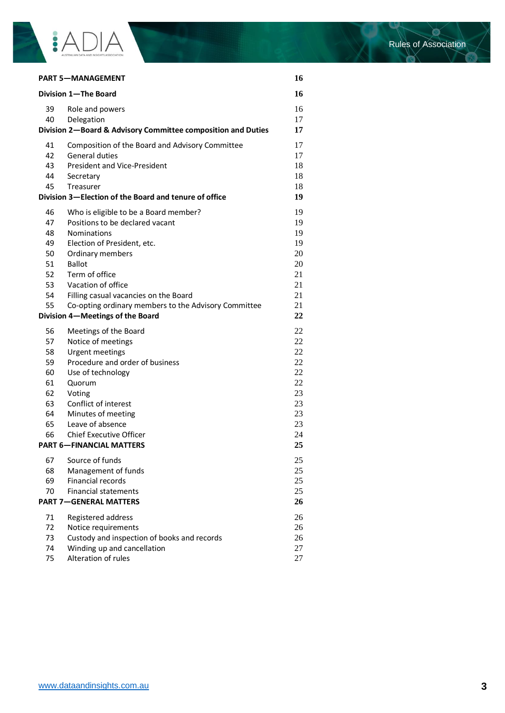

ø

| <b>PART 5-MANAGEMENT</b><br>Division 1-The Board                                               |                                                                                               | 16             |
|------------------------------------------------------------------------------------------------|-----------------------------------------------------------------------------------------------|----------------|
|                                                                                                |                                                                                               | 16             |
| 39<br>40                                                                                       | Role and powers<br>Delegation<br>Division 2-Board & Advisory Committee composition and Duties | 16<br>17<br>17 |
|                                                                                                |                                                                                               |                |
| 41<br>42                                                                                       | Composition of the Board and Advisory Committee<br><b>General duties</b>                      | 17<br>17       |
| 43                                                                                             | <b>President and Vice-President</b>                                                           | 18             |
| 44                                                                                             | Secretary                                                                                     | 18             |
| 45                                                                                             | Treasurer                                                                                     | 18             |
|                                                                                                | Division 3-Election of the Board and tenure of office                                         | 19             |
| 46                                                                                             | Who is eligible to be a Board member?                                                         | 19             |
| 47                                                                                             | Positions to be declared vacant                                                               | 19             |
| 48                                                                                             | Nominations                                                                                   | 19             |
| 49                                                                                             | Election of President, etc.                                                                   | 19             |
| 50                                                                                             | Ordinary members                                                                              | 20             |
| 51                                                                                             | <b>Ballot</b>                                                                                 | 20             |
| 52                                                                                             | Term of office                                                                                | 21             |
| 53                                                                                             | Vacation of office                                                                            | 21             |
| 54                                                                                             | Filling casual vacancies on the Board                                                         | 21             |
| 55<br>Co-opting ordinary members to the Advisory Committee<br>Division 4-Meetings of the Board |                                                                                               | 21<br>22       |
| 56                                                                                             | Meetings of the Board                                                                         | 22             |
| 57                                                                                             | Notice of meetings                                                                            | 22             |
| 58                                                                                             | Urgent meetings                                                                               | 22             |
| 59                                                                                             | Procedure and order of business                                                               | 22             |
| 60                                                                                             | Use of technology                                                                             | 22             |
| 61                                                                                             | Quorum                                                                                        | 22             |
| 62                                                                                             | Voting                                                                                        | 23             |
| 63                                                                                             | Conflict of interest                                                                          | 23             |
| 64                                                                                             | Minutes of meeting                                                                            | 23             |
| 65                                                                                             | Leave of absence                                                                              | 23             |
| 66                                                                                             | <b>Chief Executive Officer</b><br><b>PART 6-FINANCIAL MATTERS</b>                             | 24<br>25       |
|                                                                                                |                                                                                               |                |
| 67                                                                                             | Source of funds                                                                               | 25             |
| 68                                                                                             | Management of funds                                                                           | 25             |
| 69<br>70                                                                                       | <b>Financial records</b><br><b>Financial statements</b>                                       | 25<br>25       |
|                                                                                                | <b>PART 7-GENERAL MATTERS</b>                                                                 | 26             |
| 71                                                                                             | Registered address                                                                            | 26             |
| 72                                                                                             | Notice requirements                                                                           | 26             |
| 73                                                                                             | Custody and inspection of books and records                                                   | 26             |
| 74                                                                                             | Winding up and cancellation                                                                   | 27             |
| 75                                                                                             | Alteration of rules                                                                           | 27             |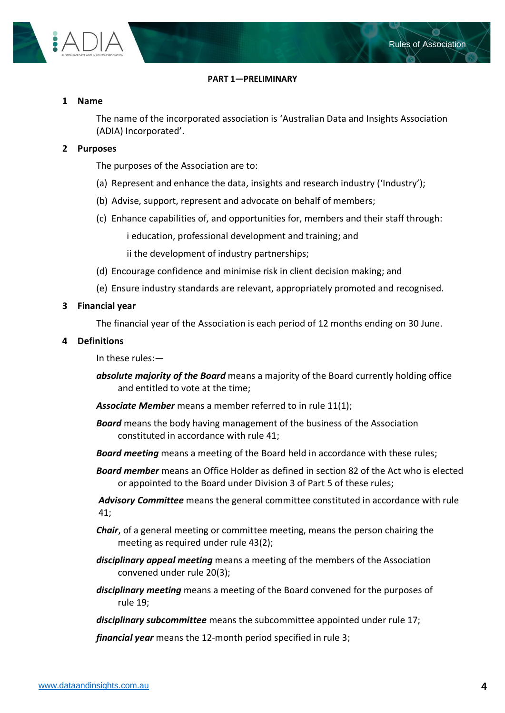

#### **PART 1—PRELIMINARY**

#### <span id="page-3-1"></span><span id="page-3-0"></span>**1 Name**

The name of the incorporated association is 'Australian Data and Insights Association (ADIA) Incorporated'.

#### <span id="page-3-2"></span>**2 Purposes**

The purposes of the Association are to:

- (a) Represent and enhance the data, insights and research industry ('Industry');
- (b) Advise, support, represent and advocate on behalf of members;
- (c) Enhance capabilities of, and opportunities for, members and their staff through:

i education, professional development and training; and

ii the development of industry partnerships;

- (d) Encourage confidence and minimise risk in client decision making; and
- (e) Ensure industry standards are relevant, appropriately promoted and recognised.

#### <span id="page-3-3"></span>**3 Financial year**

The financial year of the Association is each period of 12 months ending on 30 June.

#### <span id="page-3-4"></span>**4 Definitions**

In these rules:—

- *absolute majority of the Board* means a majority of the Board currently holding office and entitled to vote at the time;
- *Associate Member* means a member referred to in rule [11\(1\);](#page-7-5)
- *Board* means the body having management of the business of the Association constituted in accordance with rule [41;](#page-16-2)
- *Board meeting* means a meeting of the Board held in accordance with these rules;
- *Board member* means an Office Holder as defined in section 82 of the Act who is elected or appointed to the Board under Division 3 of Part 5 of these rules;

*Advisory Committee* means the general committee constituted in accordance with rule [41;](#page-16-2)

- *Chair*, of a general meeting or committee meeting, means the person chairing the meeting as required under rule [43\(2\);](#page-17-3)
- *disciplinary appeal meeting* means a meeting of the members of the Association convened under rule [20\(3\);](#page-9-2)
- *disciplinary meeting* means a meeting of the Board convened for the purposes of rule [19;](#page-9-0)
- *disciplinary subcommittee* means the subcommittee appointed under rule [17;](#page-8-2)

*financial year* means the 12-month period specified in rule [3;](#page-3-3)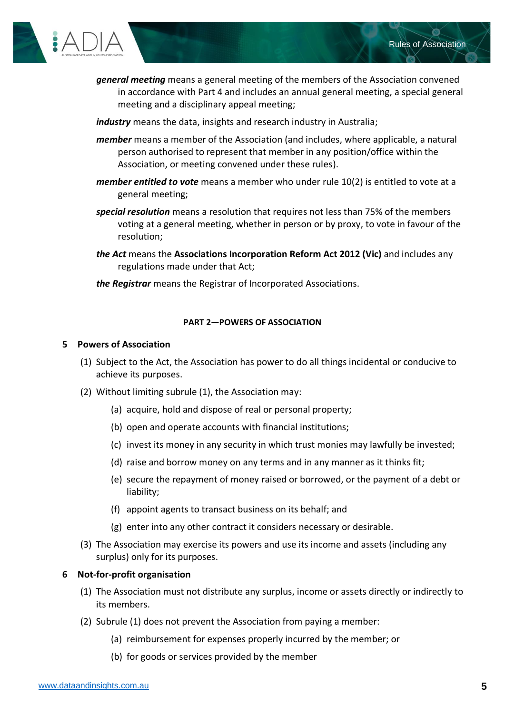

*general meeting* means a general meeting of the members of the Association convened in accordance with Part 4 and includes an annual general meeting, a special general meeting and a disciplinary appeal meeting;

*industry* means the data, insights and research industry in Australia;

- *member* means a member of the Association (and includes, where applicable, a natural person authorised to represent that member in any position/office within the Association, or meeting convened under these rules).
- *member entitled to vote* means a member who under rule [10\(2\)](#page-7-6) is entitled to vote at a general meeting;
- *special resolution* means a resolution that requires not less than 75% of the members voting at a general meeting, whether in person or by proxy, to vote in favour of the resolution;
- *the Act* means the **Associations Incorporation Reform Act 2012 (Vic)** and includes any regulations made under that Act;
- *the Registrar* means the Registrar of Incorporated Associations.

#### **PART 2—POWERS OF ASSOCIATION**

#### <span id="page-4-1"></span><span id="page-4-0"></span>**5 Powers of Association**

- (1) Subject to the Act, the Association has power to do all things incidental or conducive to achieve its purposes.
- (2) Without limiting subrule (1), the Association may:
	- (a) acquire, hold and dispose of real or personal property;
	- (b) open and operate accounts with financial institutions;
	- (c) invest its money in any security in which trust monies may lawfully be invested;
	- (d) raise and borrow money on any terms and in any manner as it thinks fit;
	- (e) secure the repayment of money raised or borrowed, or the payment of a debt or liability;
	- (f) appoint agents to transact business on its behalf; and
	- (g) enter into any other contract it considers necessary or desirable.
- (3) The Association may exercise its powers and use its income and assets (including any surplus) only for its purposes.

# <span id="page-4-2"></span>**6 Not-for-profit organisation**

- (1) The Association must not distribute any surplus, income or assets directly or indirectly to its members.
- (2) Subrule (1) does not prevent the Association from paying a member:
	- (a) reimbursement for expenses properly incurred by the member; or
	- (b) for goods or services provided by the member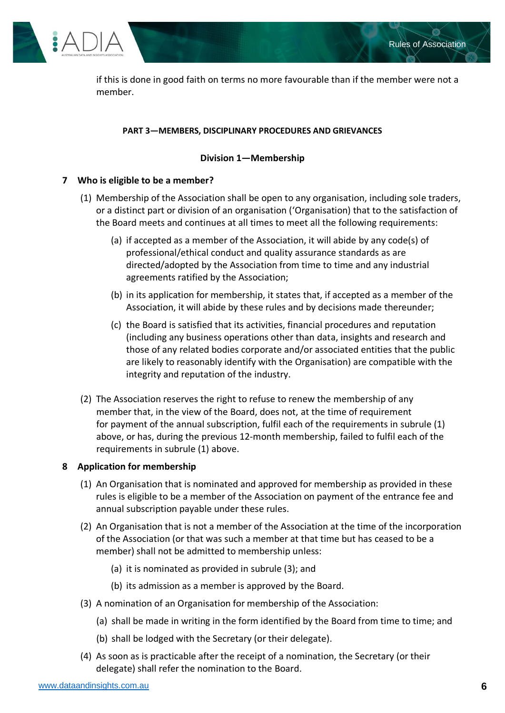

if this is done in good faith on terms no more favourable than if the member were not a member.

# **PART 3—MEMBERS, DISCIPLINARY PROCEDURES AND GRIEVANCES**

# **Division 1—Membership**

# <span id="page-5-2"></span><span id="page-5-1"></span><span id="page-5-0"></span>**7 Who is eligible to be a member?**

- (1) Membership of the Association shall be open to any organisation, including sole traders, or a distinct part or division of an organisation ('Organisation) that to the satisfaction of the Board meets and continues at all times to meet all the following requirements:
	- (a) if accepted as a member of the Association, it will abide by any code(s) of professional/ethical conduct and quality assurance standards as are directed/adopted by the Association from time to time and any industrial agreements ratified by the Association;
	- (b) in its application for membership, it states that, if accepted as a member of the Association, it will abide by these rules and by decisions made thereunder;
	- (c) the Board is satisfied that its activities, financial procedures and reputation (including any business operations other than data, insights and research and those of any related bodies corporate and/or associated entities that the public are likely to reasonably identify with the Organisation) are compatible with the integrity and reputation of the industry.
- (2) The Association reserves the right to refuse to renew the membership of any member that, in the view of the Board, does not, at the time of requirement for payment of the annual subscription, fulfil each of the requirements in subrule (1) above, or has, during the previous 12-month membership, failed to fulfil each of the requirements in subrule (1) above.

# <span id="page-5-3"></span>**8 Application for membership**

- (1) An Organisation that is nominated and approved for membership as provided in these rules is eligible to be a member of the Association on payment of the entrance fee and annual subscription payable under these rules.
- (2) An Organisation that is not a member of the Association at the time of the incorporation of the Association (or that was such a member at that time but has ceased to be a member) shall not be admitted to membership unless:
	- (a) it is nominated as provided in subrule (3); and
	- (b) its admission as a member is approved by the Board.
- (3) A nomination of an Organisation for membership of the Association:
	- (a) shall be made in writing in the form identified by the Board from time to time; and
	- (b) shall be lodged with the Secretary (or their delegate).
- (4) As soon as is practicable after the receipt of a nomination, the Secretary (or their delegate) shall refer the nomination to the Board.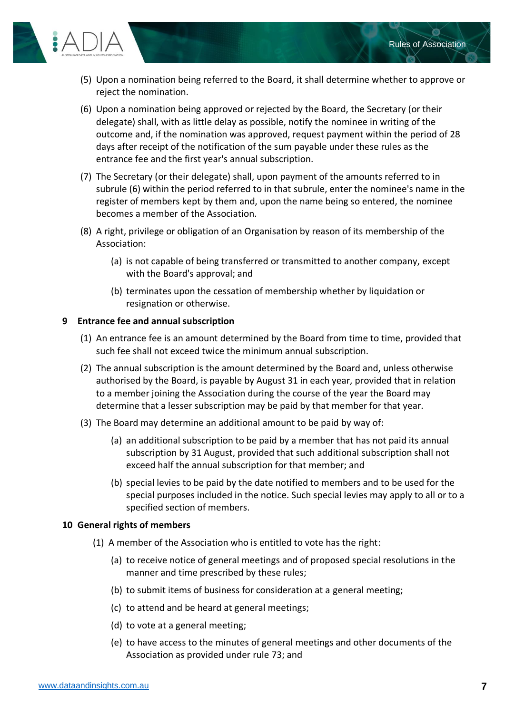

- (5) Upon a nomination being referred to the Board, it shall determine whether to approve or reject the nomination.
- (6) Upon a nomination being approved or rejected by the Board, the Secretary (or their delegate) shall, with as little delay as possible, notify the nominee in writing of the outcome and, if the nomination was approved, request payment within the period of 28 days after receipt of the notification of the sum payable under these rules as the entrance fee and the first year's annual subscription.
- (7) The Secretary (or their delegate) shall, upon payment of the amounts referred to in subrule (6) within the period referred to in that subrule, enter the nominee's name in the register of members kept by them and, upon the name being so entered, the nominee becomes a member of the Association.
- (8) A right, privilege or obligation of an Organisation by reason of its membership of the Association:
	- (a) is not capable of being transferred or transmitted to another company, except with the Board's approval; and
	- (b) terminates upon the cessation of membership whether by liquidation or resignation or otherwise.

# <span id="page-6-0"></span>**9 Entrance fee and annual subscription**

- (1) An entrance fee is an amount determined by the Board from time to time, provided that such fee shall not exceed twice the minimum annual subscription.
- (2) The annual subscription is the amount determined by the Board and, unless otherwise authorised by the Board, is payable by August 31 in each year, provided that in relation to a member joining the Association during the course of the year the Board may determine that a lesser subscription may be paid by that member for that year.
- (3) The Board may determine an additional amount to be paid by way of:
	- (a) an additional subscription to be paid by a member that has not paid its annual subscription by 31 August, provided that such additional subscription shall not exceed half the annual subscription for that member; and
	- (b) special levies to be paid by the date notified to members and to be used for the special purposes included in the notice. Such special levies may apply to all or to a specified section of members.

# <span id="page-6-1"></span>**10 General rights of members**

- (1) A member of the Association who is entitled to vote has the right:
	- (a) to receive notice of general meetings and of proposed special resolutions in the manner and time prescribed by these rules;
	- (b) to submit items of business for consideration at a general meeting;
	- (c) to attend and be heard at general meetings;
	- (d) to vote at a general meeting;
	- (e) to have access to the minutes of general meetings and other documents of the Association as provided under rule [73;](#page-25-3) and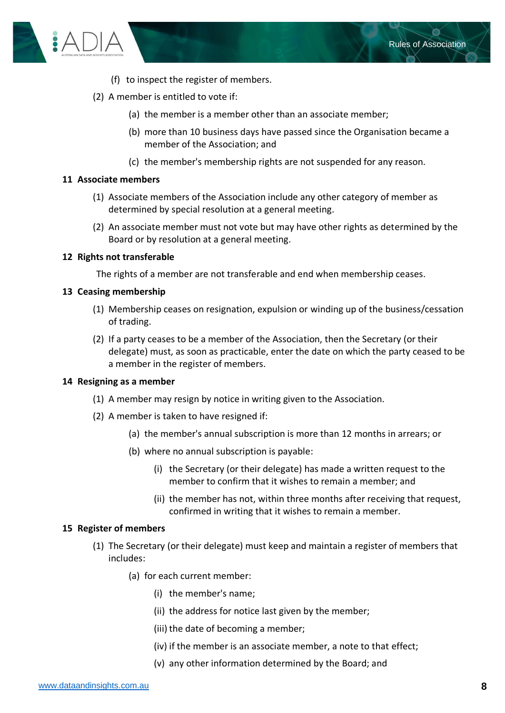

- (f) to inspect the register of members.
- <span id="page-7-6"></span>(2) A member is entitled to vote if:
	- (a) the member is a member other than an associate member;
	- (b) more than 10 business days have passed since the Organisation became a member of the Association; and
	- (c) the member's membership rights are not suspended for any reason.

#### <span id="page-7-5"></span><span id="page-7-0"></span>**11 Associate members**

- (1) Associate members of the Association include any other category of member as determined by special resolution at a general meeting.
- (2) An associate member must not vote but may have other rights as determined by the Board or by resolution at a general meeting.

#### <span id="page-7-1"></span>**12 Rights not transferable**

The rights of a member are not transferable and end when membership ceases.

#### <span id="page-7-2"></span>**13 Ceasing membership**

- (1) Membership ceases on resignation, expulsion or winding up of the business/cessation of trading.
- (2) If a party ceases to be a member of the Association, then the Secretary (or their delegate) must, as soon as practicable, enter the date on which the party ceased to be a member in the register of members.

#### <span id="page-7-3"></span>**14 Resigning as a member**

- (1) A member may resign by notice in writing given to the Association.
- (2) A member is taken to have resigned if:
	- (a) the member's annual subscription is more than 12 months in arrears; or
	- (b) where no annual subscription is payable:
		- (i) the Secretary (or their delegate) has made a written request to the member to confirm that it wishes to remain a member; and
		- (ii) the member has not, within three months after receiving that request, confirmed in writing that it wishes to remain a member.

#### <span id="page-7-4"></span>**15 Register of members**

- (1) The Secretary (or their delegate) must keep and maintain a register of members that includes:
	- (a) for each current member:
		- (i) the member's name;
		- (ii) the address for notice last given by the member;
		- (iii) the date of becoming a member;
		- (iv) if the member is an associate member, a note to that effect;
		- (v) any other information determined by the Board; and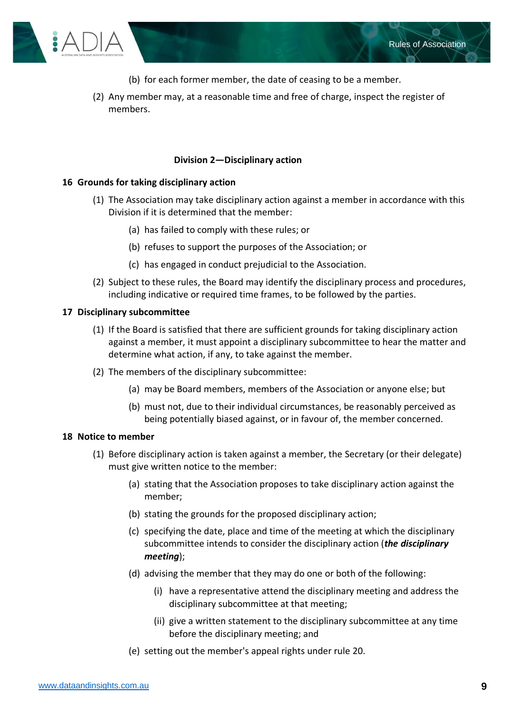

- (b) for each former member, the date of ceasing to be a member.
- (2) Any member may, at a reasonable time and free of charge, inspect the register of members.

# <span id="page-8-0"></span>**Division 2—Disciplinary action**

# <span id="page-8-1"></span>**16 Grounds for taking disciplinary action**

- (1) The Association may take disciplinary action against a member in accordance with this Division if it is determined that the member:
	- (a) has failed to comply with these rules; or
	- (b) refuses to support the purposes of the Association; or
	- (c) has engaged in conduct prejudicial to the Association.
- (2) Subject to these rules, the Board may identify the disciplinary process and procedures, including indicative or required time frames, to be followed by the parties.

#### <span id="page-8-2"></span>**17 Disciplinary subcommittee**

- (1) If the Board is satisfied that there are sufficient grounds for taking disciplinary action against a member, it must appoint a disciplinary subcommittee to hear the matter and determine what action, if any, to take against the member.
- (2) The members of the disciplinary subcommittee:
	- (a) may be Board members, members of the Association or anyone else; but
	- (b) must not, due to their individual circumstances, be reasonably perceived as being potentially biased against, or in favour of, the member concerned.

#### <span id="page-8-3"></span>**18 Notice to member**

- (1) Before disciplinary action is taken against a member, the Secretary (or their delegate) must give written notice to the member:
	- (a) stating that the Association proposes to take disciplinary action against the member;
	- (b) stating the grounds for the proposed disciplinary action;
	- (c) specifying the date, place and time of the meeting at which the disciplinary subcommittee intends to consider the disciplinary action (*the disciplinary meeting*);
	- (d) advising the member that they may do one or both of the following:
		- (i) have a representative attend the disciplinary meeting and address the disciplinary subcommittee at that meeting;
		- (ii) give a written statement to the disciplinary subcommittee at any time before the disciplinary meeting; and
	- (e) setting out the member's appeal rights under rule [20.](#page-9-1)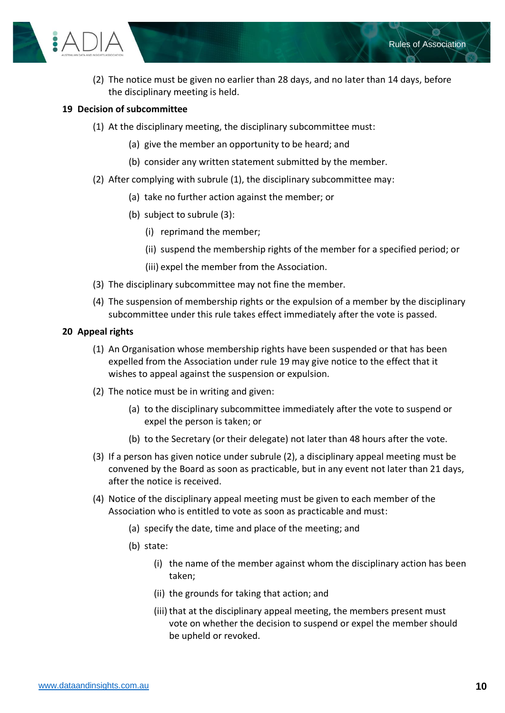

(2) The notice must be given no earlier than 28 days, and no later than 14 days, before the disciplinary meeting is held.

# <span id="page-9-0"></span>**19 Decision of subcommittee**

- (1) At the disciplinary meeting, the disciplinary subcommittee must:
	- (a) give the member an opportunity to be heard; and
	- (b) consider any written statement submitted by the member.
- (2) After complying with subrule (1), the disciplinary subcommittee may:
	- (a) take no further action against the member; or
	- (b) subject to subrule (3):
		- (i) reprimand the member;
		- (ii) suspend the membership rights of the member for a specified period; or
		- (iii) expel the member from the Association.
- (3) The disciplinary subcommittee may not fine the member.
- (4) The suspension of membership rights or the expulsion of a member by the disciplinary subcommittee under this rule takes effect immediately after the vote is passed.

# <span id="page-9-1"></span>**20 Appeal rights**

- (1) An Organisation whose membership rights have been suspended or that has been expelled from the Association under rule [19](#page-9-0) may give notice to the effect that it wishes to appeal against the suspension or expulsion.
- (2) The notice must be in writing and given:
	- (a) to the disciplinary subcommittee immediately after the vote to suspend or expel the person is taken; or
	- (b) to the Secretary (or their delegate) not later than 48 hours after the vote.
- <span id="page-9-2"></span>(3) If a person has given notice under subrule (2), a disciplinary appeal meeting must be convened by the Board as soon as practicable, but in any event not later than 21 days, after the notice is received.
- (4) Notice of the disciplinary appeal meeting must be given to each member of the Association who is entitled to vote as soon as practicable and must:
	- (a) specify the date, time and place of the meeting; and
	- (b) state:
		- (i) the name of the member against whom the disciplinary action has been taken;
		- (ii) the grounds for taking that action; and
		- (iii) that at the disciplinary appeal meeting, the members present must vote on whether the decision to suspend or expel the member should be upheld or revoked.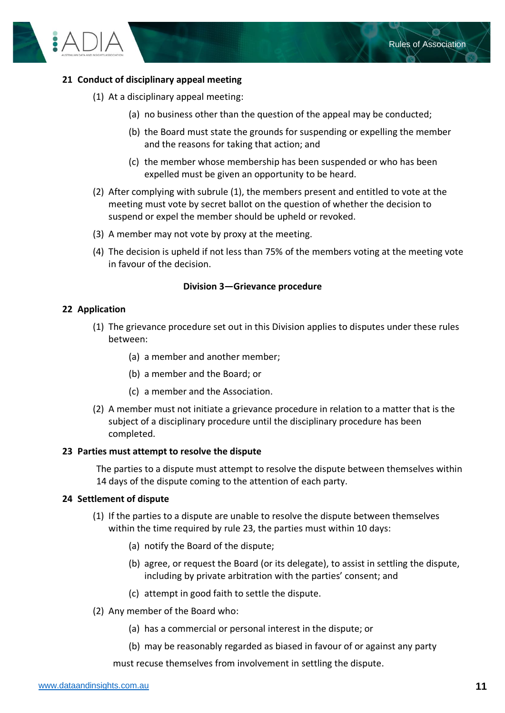

# <span id="page-10-0"></span>**21 Conduct of disciplinary appeal meeting**

- (1) At a disciplinary appeal meeting:
	- (a) no business other than the question of the appeal may be conducted;
	- (b) the Board must state the grounds for suspending or expelling the member and the reasons for taking that action; and
	- (c) the member whose membership has been suspended or who has been expelled must be given an opportunity to be heard.
- (2) After complying with subrule (1), the members present and entitled to vote at the meeting must vote by secret ballot on the question of whether the decision to suspend or expel the member should be upheld or revoked.
- (3) A member may not vote by proxy at the meeting.
- (4) The decision is upheld if not less than 75% of the members voting at the meeting vote in favour of the decision.

#### **Division 3—Grievance procedure**

#### <span id="page-10-2"></span><span id="page-10-1"></span>**22 Application**

- (1) The grievance procedure set out in this Division applies to disputes under these rules between:
	- (a) a member and another member;
	- (b) a member and the Board; or
	- (c) a member and the Association.
- (2) A member must not initiate a grievance procedure in relation to a matter that is the subject of a disciplinary procedure until the disciplinary procedure has been completed.

#### <span id="page-10-3"></span>**23 Parties must attempt to resolve the dispute**

The parties to a dispute must attempt to resolve the dispute between themselves within 14 days of the dispute coming to the attention of each party.

#### <span id="page-10-4"></span>**24 Settlement of dispute**

- (1) If the parties to a dispute are unable to resolve the dispute between themselves within the time required by rule [23,](#page-10-3) the parties must within 10 days:
	- (a) notify the Board of the dispute;
	- (b) agree, or request the Board (or its delegate), to assist in settling the dispute, including by private arbitration with the parties' consent; and
	- (c) attempt in good faith to settle the dispute.
- (2) Any member of the Board who:
	- (a) has a commercial or personal interest in the dispute; or
	- (b) may be reasonably regarded as biased in favour of or against any party

must recuse themselves from involvement in settling the dispute.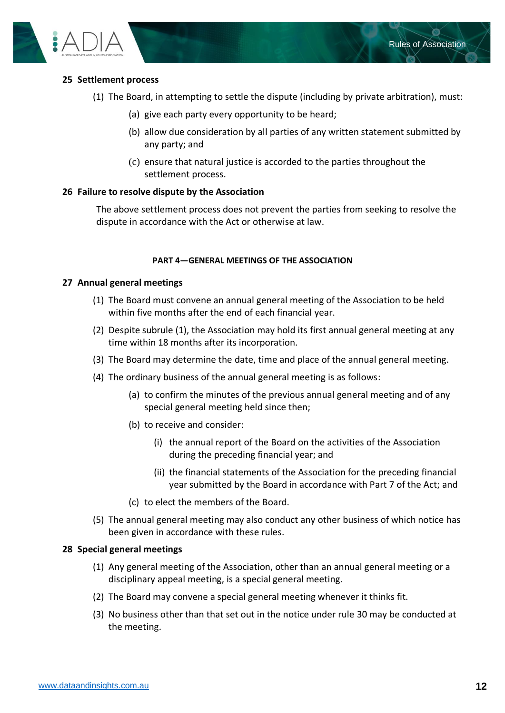

# <span id="page-11-0"></span>**25 Settlement process**

- (1) The Board, in attempting to settle the dispute (including by private arbitration), must:
	- (a) give each party every opportunity to be heard;
	- (b) allow due consideration by all parties of any written statement submitted by any party; and
	- (c) ensure that natural justice is accorded to the parties throughout the settlement process.

# <span id="page-11-1"></span>**26 Failure to resolve dispute by the Association**

The above settlement process does not prevent the parties from seeking to resolve the dispute in accordance with the Act or otherwise at law.

# **PART 4—GENERAL MEETINGS OF THE ASSOCIATION**

# <span id="page-11-3"></span><span id="page-11-2"></span>**27 Annual general meetings**

- (1) The Board must convene an annual general meeting of the Association to be held within five months after the end of each financial year.
- (2) Despite subrule (1), the Association may hold its first annual general meeting at any time within 18 months after its incorporation.
- (3) The Board may determine the date, time and place of the annual general meeting.
- (4) The ordinary business of the annual general meeting is as follows:
	- (a) to confirm the minutes of the previous annual general meeting and of any special general meeting held since then;
	- (b) to receive and consider:
		- (i) the annual report of the Board on the activities of the Association during the preceding financial year; and
		- (ii) the financial statements of the Association for the preceding financial year submitted by the Board in accordance with Part 7 of the Act; and
	- (c) to elect the members of the Board.
- <span id="page-11-5"></span>(5) The annual general meeting may also conduct any other business of which notice has been given in accordance with these rules.

# <span id="page-11-4"></span>**28 Special general meetings**

- (1) Any general meeting of the Association, other than an annual general meeting or a disciplinary appeal meeting, is a special general meeting.
- (2) The Board may convene a special general meeting whenever it thinks fit.
- (3) No business other than that set out in the notice under rule [30](#page-12-1) may be conducted at the meeting.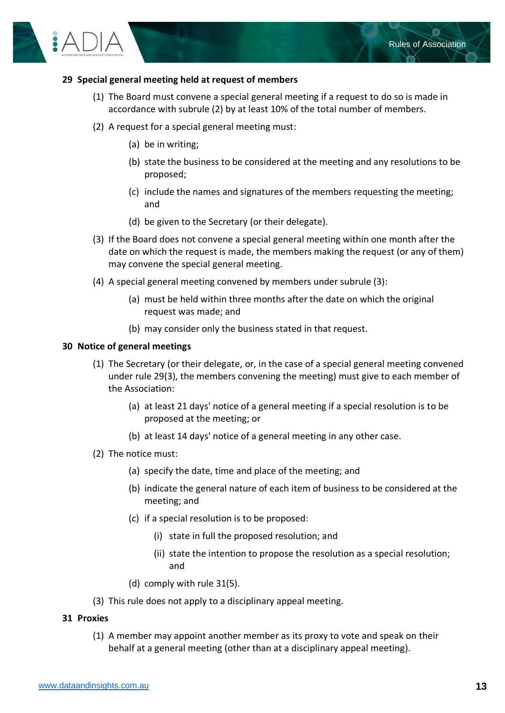

### <span id="page-12-0"></span>**29 Special general meeting held at request of members**

- (1) The Board must convene a special general meeting if a request to do so is made in accordance with subrule (2) by at least 10% of the total number of members.
- (2) A request for a special general meeting must:
	- (a) be in writing;
	- (b) state the business to be considered at the meeting and any resolutions to be proposed;
	- (c) include the names and signatures of the members requesting the meeting; and
	- (d) be given to the Secretary (or their delegate).
- <span id="page-12-3"></span>(3) If the Board does not convene a special general meeting within one month after the date on which the request is made, the members making the request (or any of them) may convene the special general meeting.
- (4) A special general meeting convened by members under subrule (3):
	- (a) must be held within three months after the date on which the original request was made; and
	- (b) may consider only the business stated in that request.

#### <span id="page-12-1"></span>**30 Notice of general meetings**

- (1) The Secretary (or their delegate, or, in the case of a special general meeting convened under rule [29\(3\),](#page-12-3) the members convening the meeting) must give to each member of the Association:
	- (a) at least 21 days' notice of a general meeting if a special resolution is to be proposed at the meeting; or
	- (b) at least 14 days' notice of a general meeting in any other case.
- (2) The notice must:
	- (a) specify the date, time and place of the meeting; and
	- (b) indicate the general nature of each item of business to be considered at the meeting; and
	- (c) if a special resolution is to be proposed:
		- (i) state in full the proposed resolution; and
		- (ii) state the intention to propose the resolution as a special resolution; and
	- (d) comply with rule [31\(5\).](#page-13-2)
- (3) This rule does not apply to a disciplinary appeal meeting.

#### <span id="page-12-2"></span>**31 Proxies**

(1) A member may appoint another member as its proxy to vote and speak on their behalf at a general meeting (other than at a disciplinary appeal meeting).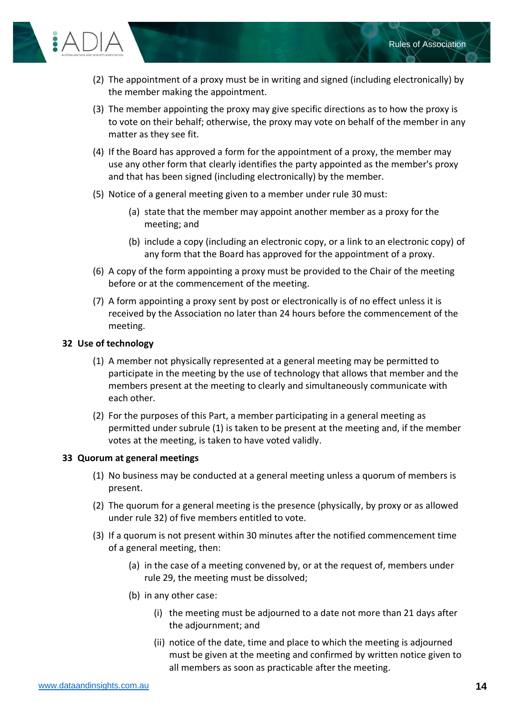

- (2) The appointment of a proxy must be in writing and signed (including electronically) by the member making the appointment.
- (3) The member appointing the proxy may give specific directions as to how the proxy is to vote on their behalf; otherwise, the proxy may vote on behalf of the member in any matter as they see fit.
- (4) If the Board has approved a form for the appointment of a proxy, the member may use any other form that clearly identifies the party appointed as the member's proxy and that has been signed (including electronically) by the member.
- <span id="page-13-2"></span>(5) Notice of a general meeting given to a member under rule [30](#page-12-1) must:
	- (a) state that the member may appoint another member as a proxy for the meeting; and
	- (b) include a copy (including an electronic copy, or a link to an electronic copy) of any form that the Board has approved for the appointment of a proxy.
- <span id="page-13-3"></span>(6) A copy of the form appointing a proxy must be provided to the Chair of the meeting before or at the commencement of the meeting.
- (7) A form appointing a proxy sent by post or electronically is of no effect unless it is received by the Association no later than 24 hours before the commencement of the meeting.

# <span id="page-13-0"></span>**32 Use of technology**

- (1) A member not physically represented at a general meeting may be permitted to participate in the meeting by the use of technology that allows that member and the members present at the meeting to clearly and simultaneously communicate with each other.
- (2) For the purposes of this Part, a member participating in a general meeting as permitted under subrule (1) is taken to be present at the meeting and, if the member votes at the meeting, is taken to have voted validly.

# <span id="page-13-1"></span>**33 Quorum at general meetings**

- (1) No business may be conducted at a general meeting unless a quorum of members is present.
- (2) The quorum for a general meeting is the presence (physically, by proxy or as allowed under rule [32\)](#page-13-0) of five members entitled to vote.
- (3) If a quorum is not present within 30 minutes after the notified commencement time of a general meeting, then:
	- (a) in the case of a meeting convened by, or at the request of, members under rule [29,](#page-12-0) the meeting must be dissolved;
	- (b) in any other case:
		- (i) the meeting must be adjourned to a date not more than 21 days after the adjournment; and
		- (ii) notice of the date, time and place to which the meeting is adjourned must be given at the meeting and confirmed by written notice given to all members as soon as practicable after the meeting.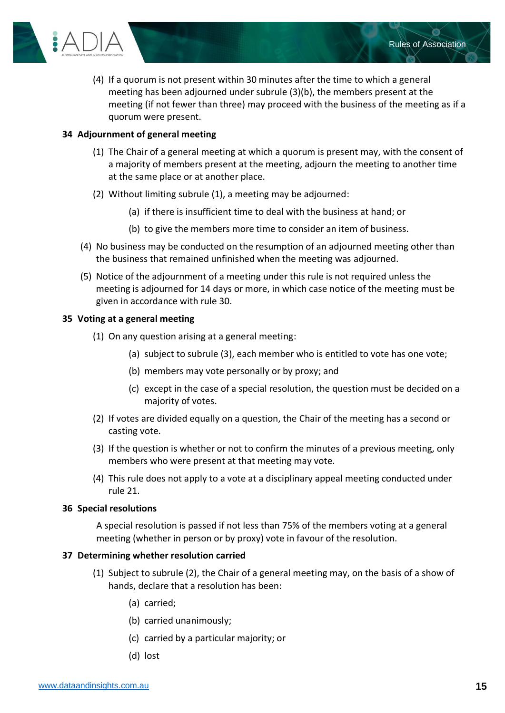

Rules of Association

## <span id="page-14-0"></span>**34 Adjournment of general meeting**

- (1) The Chair of a general meeting at which a quorum is present may, with the consent of a majority of members present at the meeting, adjourn the meeting to another time at the same place or at another place.
- (2) Without limiting subrule (1), a meeting may be adjourned:
	- (a) if there is insufficient time to deal with the business at hand; or
	- (b) to give the members more time to consider an item of business.
- (4) No business may be conducted on the resumption of an adjourned meeting other than the business that remained unfinished when the meeting was adjourned.
- (5) Notice of the adjournment of a meeting under this rule is not required unless the meeting is adjourned for 14 days or more, in which case notice of the meeting must be given in accordance with rule [30.](#page-12-1)

#### <span id="page-14-1"></span>**35 Voting at a general meeting**

- (1) On any question arising at a general meeting:
	- (a) subject to subrule (3), each member who is entitled to vote has one vote;
	- (b) members may vote personally or by proxy; and
	- (c) except in the case of a special resolution, the question must be decided on a majority of votes.
- (2) If votes are divided equally on a question, the Chair of the meeting has a second or casting vote.
- (3) If the question is whether or not to confirm the minutes of a previous meeting, only members who were present at that meeting may vote.
- (4) This rule does not apply to a vote at a disciplinary appeal meeting conducted under rule [21.](#page-10-0)

#### <span id="page-14-2"></span>**36 Special resolutions**

A special resolution is passed if not less than 75% of the members voting at a general meeting (whether in person or by proxy) vote in favour of the resolution.

#### <span id="page-14-3"></span>**37 Determining whether resolution carried**

- (1) Subject to subrule (2), the Chair of a general meeting may, on the basis of a show of hands, declare that a resolution has been:
	- (a) carried;
	- (b) carried unanimously;
	- (c) carried by a particular majority; or
	- (d) lost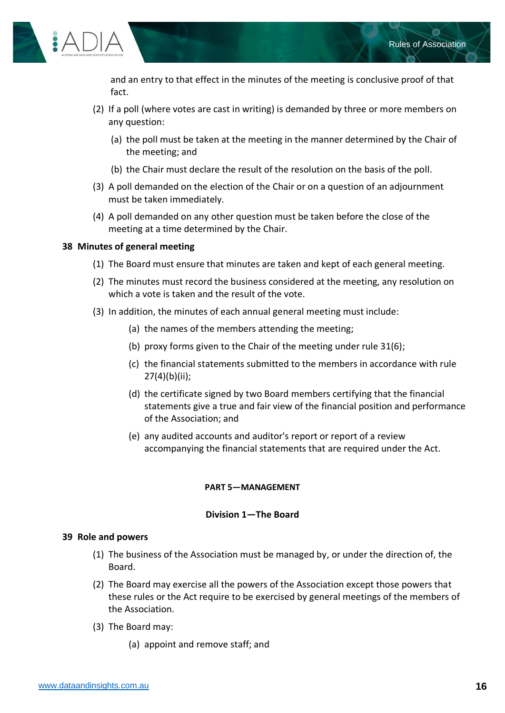

and an entry to that effect in the minutes of the meeting is conclusive proof of that fact.

- (2) If a poll (where votes are cast in writing) is demanded by three or more members on any question:
	- (a) the poll must be taken at the meeting in the manner determined by the Chair of the meeting; and
	- (b) the Chair must declare the result of the resolution on the basis of the poll.
- (3) A poll demanded on the election of the Chair or on a question of an adjournment must be taken immediately.
- (4) A poll demanded on any other question must be taken before the close of the meeting at a time determined by the Chair.

# <span id="page-15-0"></span>**38 Minutes of general meeting**

- (1) The Board must ensure that minutes are taken and kept of each general meeting.
- (2) The minutes must record the business considered at the meeting, any resolution on which a vote is taken and the result of the vote.
- (3) In addition, the minutes of each annual general meeting must include:
	- (a) the names of the members attending the meeting;
	- (b) proxy forms given to the Chair of the meeting under rule [31\(6\);](#page-13-3)
	- (c) the financial statements submitted to the members in accordance with rule [27\(4\)\(b\)\(ii\);](#page-11-5)
	- (d) the certificate signed by two Board members certifying that the financial statements give a true and fair view of the financial position and performance of the Association; and
	- (e) any audited accounts and auditor's report or report of a review accompanying the financial statements that are required under the Act.

# **PART 5—MANAGEMENT**

# **Division 1—The Board**

# <span id="page-15-3"></span><span id="page-15-2"></span><span id="page-15-1"></span>**39 Role and powers**

- (1) The business of the Association must be managed by, or under the direction of, the Board.
- (2) The Board may exercise all the powers of the Association except those powers that these rules or the Act require to be exercised by general meetings of the members of the Association.
- (3) The Board may:
	- (a) appoint and remove staff; and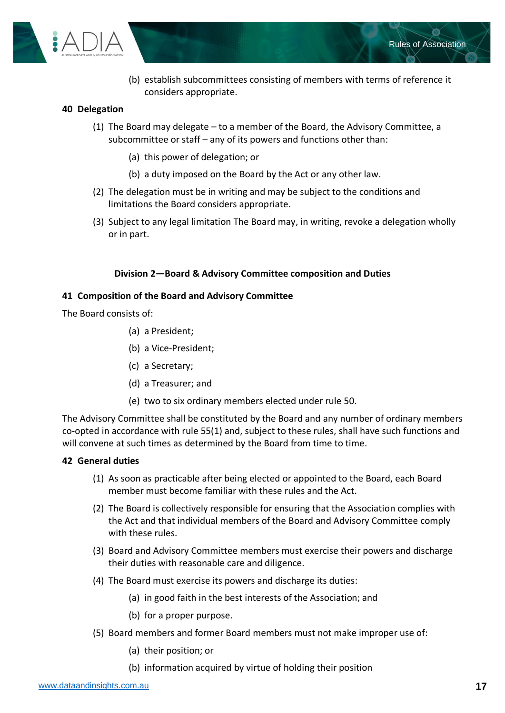

(b) establish subcommittees consisting of members with terms of reference it considers appropriate.

# <span id="page-16-0"></span>**40 Delegation**

- (1) The Board may delegate to a member of the Board, the Advisory Committee, a subcommittee or staff – any of its powers and functions other than:
	- (a) this power of delegation; or
	- (b) a duty imposed on the Board by the Act or any other law.
- (2) The delegation must be in writing and may be subject to the conditions and limitations the Board considers appropriate.
- (3) Subject to any legal limitation The Board may, in writing, revoke a delegation wholly or in part.

# **Division 2—Board & Advisory Committee composition and Duties**

# <span id="page-16-2"></span><span id="page-16-1"></span>**41 Composition of the Board and Advisory Committee**

The Board consists of:

- (a) a President;
- (b) a Vice-President;
- (c) a Secretary;
- (d) a Treasurer; and
- (e) two to six ordinary members elected under rule [50.](#page-19-0)

The Advisory Committee shall be constituted by the Board and any number of ordinary members co-opted in accordance with rul[e 55\(1\)](#page-20-4) and, subject to these rules, shall have such functions and will convene at such times as determined by the Board from time to time.

# <span id="page-16-3"></span>**42 General duties**

- (1) As soon as practicable after being elected or appointed to the Board, each Board member must become familiar with these rules and the Act.
- (2) The Board is collectively responsible for ensuring that the Association complies with the Act and that individual members of the Board and Advisory Committee comply with these rules.
- (3) Board and Advisory Committee members must exercise their powers and discharge their duties with reasonable care and diligence.
- (4) The Board must exercise its powers and discharge its duties:
	- (a) in good faith in the best interests of the Association; and
	- (b) for a proper purpose.
- (5) Board members and former Board members must not make improper use of:
	- (a) their position; or
	- (b) information acquired by virtue of holding their position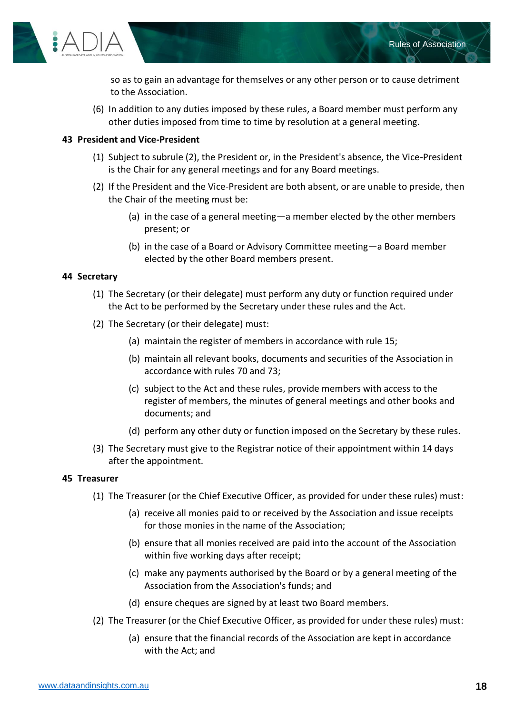

so as to gain an advantage for themselves or any other person or to cause detriment to the Association.

(6) In addition to any duties imposed by these rules, a Board member must perform any other duties imposed from time to time by resolution at a general meeting.

# <span id="page-17-3"></span><span id="page-17-0"></span>**43 President and Vice-President**

- (1) Subject to subrule (2), the President or, in the President's absence, the Vice-President is the Chair for any general meetings and for any Board meetings.
- (2) If the President and the Vice-President are both absent, or are unable to preside, then the Chair of the meeting must be:
	- (a) in the case of a general meeting—a member elected by the other members present; or
	- (b) in the case of a Board or Advisory Committee meeting—a Board member elected by the other Board members present.

# <span id="page-17-1"></span>**44 Secretary**

- (1) The Secretary (or their delegate) must perform any duty or function required under the Act to be performed by the Secretary under these rules and the Act.
- (2) The Secretary (or their delegate) must:
	- (a) maintain the register of members in accordance with rule [15;](#page-7-4)
	- (b) maintain all relevant books, documents and securities of the Association in accordance with rules [70](#page-24-4) and [73;](#page-25-3)
	- (c) subject to the Act and these rules, provide members with access to the register of members, the minutes of general meetings and other books and documents; and
	- (d) perform any other duty or function imposed on the Secretary by these rules.
- (3) The Secretary must give to the Registrar notice of their appointment within 14 days after the appointment.

#### <span id="page-17-2"></span>**45 Treasurer**

- (1) The Treasurer (or the Chief Executive Officer, as provided for under these rules) must:
	- (a) receive all monies paid to or received by the Association and issue receipts for those monies in the name of the Association;
	- (b) ensure that all monies received are paid into the account of the Association within five working days after receipt;
	- (c) make any payments authorised by the Board or by a general meeting of the Association from the Association's funds; and
	- (d) ensure cheques are signed by at least two Board members.
- (2) The Treasurer (or the Chief Executive Officer, as provided for under these rules) must:
	- (a) ensure that the financial records of the Association are kept in accordance with the Act; and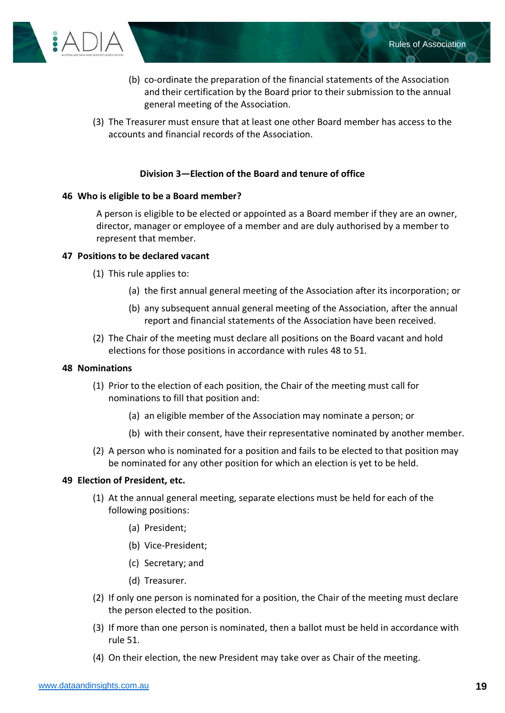

- (b) co-ordinate the preparation of the financial statements of the Association and their certification by the Board prior to their submission to the annual general meeting of the Association.
- (3) The Treasurer must ensure that at least one other Board member has access to the accounts and financial records of the Association.

# **Division 3—Election of the Board and tenure of office**

# <span id="page-18-1"></span><span id="page-18-0"></span>**46 Who is eligible to be a Board member?**

A person is eligible to be elected or appointed as a Board member if they are an owner, director, manager or employee of a member and are duly authorised by a member to represent that member.

#### <span id="page-18-2"></span>**47 Positions to be declared vacant**

- (1) This rule applies to:
	- (a) the first annual general meeting of the Association after its incorporation; or
	- (b) any subsequent annual general meeting of the Association, after the annual report and financial statements of the Association have been received.
- (2) The Chair of the meeting must declare all positions on the Board vacant and hold elections for those positions in accordance with rules [48](#page-18-3) to [51.](#page-19-1)

#### <span id="page-18-3"></span>**48 Nominations**

- (1) Prior to the election of each position, the Chair of the meeting must call for nominations to fill that position and:
	- (a) an eligible member of the Association may nominate a person; or
	- (b) with their consent, have their representative nominated by another member.
- (2) A person who is nominated for a position and fails to be elected to that position may be nominated for any other position for which an election is yet to be held.

#### <span id="page-18-4"></span>**49 Election of President, etc.**

- (1) At the annual general meeting, separate elections must be held for each of the following positions:
	- (a) President;
	- (b) Vice-President;
	- (c) Secretary; and
	- (d) Treasurer.
- (2) If only one person is nominated for a position, the Chair of the meeting must declare the person elected to the position.
- (3) If more than one person is nominated, then a ballot must be held in accordance with rule [51.](#page-19-1)
- (4) On their election, the new President may take over as Chair of the meeting.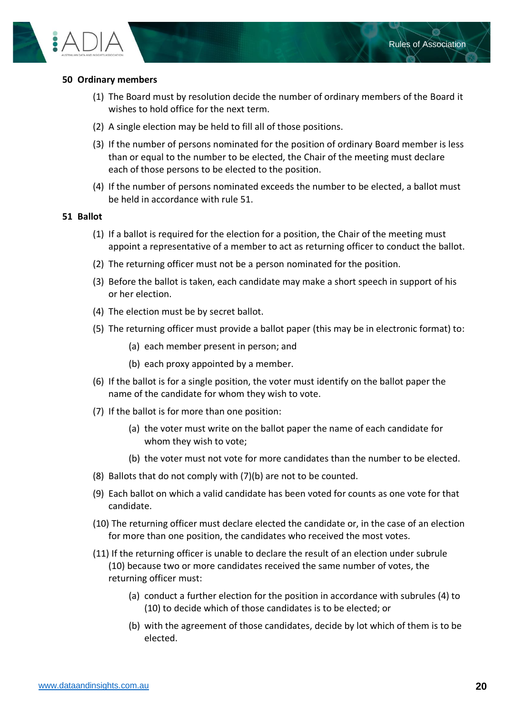



# <span id="page-19-0"></span>**50 Ordinary members**

- (1) The Board must by resolution decide the number of ordinary members of the Board it wishes to hold office for the next term.
- (2) A single election may be held to fill all of those positions.
- (3) If the number of persons nominated for the position of ordinary Board member is less than or equal to the number to be elected, the Chair of the meeting must declare each of those persons to be elected to the position.
- (4) If the number of persons nominated exceeds the number to be elected, a ballot must be held in accordance with rule [51.](#page-19-1)

#### <span id="page-19-1"></span>**51 Ballot**

- (1) If a ballot is required for the election for a position, the Chair of the meeting must appoint a representative of a member to act as returning officer to conduct the ballot.
- (2) The returning officer must not be a person nominated for the position.
- (3) Before the ballot is taken, each candidate may make a short speech in support of his or her election.
- (4) The election must be by secret ballot.
- (5) The returning officer must provide a ballot paper (this may be in electronic format) to:
	- (a) each member present in person; and
	- (b) each proxy appointed by a member.
- (6) If the ballot is for a single position, the voter must identify on the ballot paper the name of the candidate for whom they wish to vote.
- (7) If the ballot is for more than one position:
	- (a) the voter must write on the ballot paper the name of each candidate for whom they wish to vote;
	- (b) the voter must not vote for more candidates than the number to be elected.
- (8) Ballots that do not comply with (7)(b) are not to be counted.
- (9) Each ballot on which a valid candidate has been voted for counts as one vote for that candidate.
- (10) The returning officer must declare elected the candidate or, in the case of an election for more than one position, the candidates who received the most votes.
- (11) If the returning officer is unable to declare the result of an election under subrule (10) because two or more candidates received the same number of votes, the returning officer must:
	- (a) conduct a further election for the position in accordance with subrules (4) to (10) to decide which of those candidates is to be elected; or
	- (b) with the agreement of those candidates, decide by lot which of them is to be elected.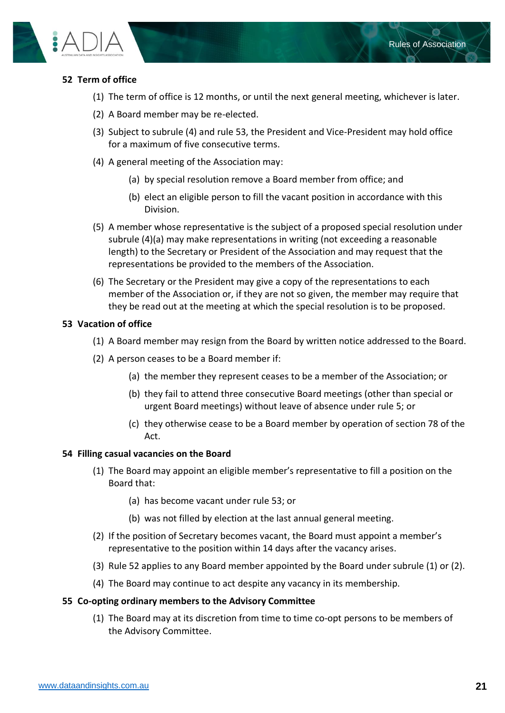



# <span id="page-20-0"></span>**52 Term of office**

- (1) The term of office is 12 months, or until the next general meeting, whichever is later.
- (2) A Board member may be re-elected.
- (3) Subject to subrule (4) and rule [53,](#page-20-1) the President and Vice-President may hold office for a maximum of five consecutive terms.
- (4) A general meeting of the Association may:
	- (a) by special resolution remove a Board member from office; and
	- (b) elect an eligible person to fill the vacant position in accordance with this Division.
- (5) A member whose representative is the subject of a proposed special resolution under subrule (4)(a) may make representations in writing (not exceeding a reasonable length) to the Secretary or President of the Association and may request that the representations be provided to the members of the Association.
- (6) The Secretary or the President may give a copy of the representations to each member of the Association or, if they are not so given, the member may require that they be read out at the meeting at which the special resolution is to be proposed.

# <span id="page-20-1"></span>**53 Vacation of office**

- (1) A Board member may resign from the Board by written notice addressed to the Board.
- (2) A person ceases to be a Board member if:
	- (a) the member they represent ceases to be a member of the Association; or
	- (b) they fail to attend three consecutive Board meetings (other than special or urgent Board meetings) without leave of absence under rule 5; or
	- (c) they otherwise cease to be a Board member by operation of section 78 of the Act.

# <span id="page-20-2"></span>**54 Filling casual vacancies on the Board**

- (1) The Board may appoint an eligible member's representative to fill a position on the Board that:
	- (a) has become vacant under rule [53;](#page-20-1) or
	- (b) was not filled by election at the last annual general meeting.
- (2) If the position of Secretary becomes vacant, the Board must appoint a member's representative to the position within 14 days after the vacancy arises.
- (3) Rule [52](#page-20-0) applies to any Board member appointed by the Board under subrule (1) or (2).
- (4) The Board may continue to act despite any vacancy in its membership.

# <span id="page-20-4"></span><span id="page-20-3"></span>**55 Co-opting ordinary members to the Advisory Committee**

(1) The Board may at its discretion from time to time co-opt persons to be members of the Advisory Committee.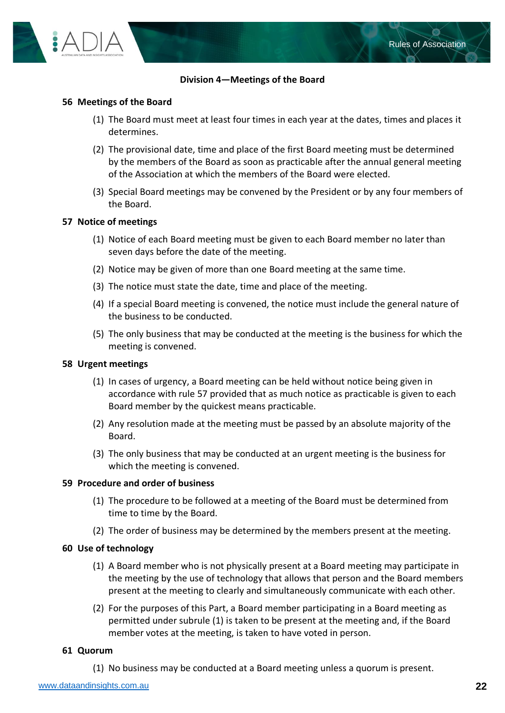

# **Division 4—Meetings of the Board**

# <span id="page-21-1"></span><span id="page-21-0"></span>**56 Meetings of the Board**

- (1) The Board must meet at least four times in each year at the dates, times and places it determines.
- (2) The provisional date, time and place of the first Board meeting must be determined by the members of the Board as soon as practicable after the annual general meeting of the Association at which the members of the Board were elected.
- (3) Special Board meetings may be convened by the President or by any four members of the Board.

#### <span id="page-21-2"></span>**57 Notice of meetings**

- (1) Notice of each Board meeting must be given to each Board member no later than seven days before the date of the meeting.
- (2) Notice may be given of more than one Board meeting at the same time.
- (3) The notice must state the date, time and place of the meeting.
- (4) If a special Board meeting is convened, the notice must include the general nature of the business to be conducted.
- (5) The only business that may be conducted at the meeting is the business for which the meeting is convened.

#### <span id="page-21-3"></span>**58 Urgent meetings**

- (1) In cases of urgency, a Board meeting can be held without notice being given in accordance with rule 57 provided that as much notice as practicable is given to each Board member by the quickest means practicable.
- (2) Any resolution made at the meeting must be passed by an absolute majority of the Board.
- (3) The only business that may be conducted at an urgent meeting is the business for which the meeting is convened.

#### <span id="page-21-4"></span>**59 Procedure and order of business**

- (1) The procedure to be followed at a meeting of the Board must be determined from time to time by the Board.
- (2) The order of business may be determined by the members present at the meeting.

#### <span id="page-21-5"></span>**60 Use of technology**

- (1) A Board member who is not physically present at a Board meeting may participate in the meeting by the use of technology that allows that person and the Board members present at the meeting to clearly and simultaneously communicate with each other.
- (2) For the purposes of this Part, a Board member participating in a Board meeting as permitted under subrule (1) is taken to be present at the meeting and, if the Board member votes at the meeting, is taken to have voted in person.

#### <span id="page-21-6"></span>**61 Quorum**

(1) No business may be conducted at a Board meeting unless a quorum is present.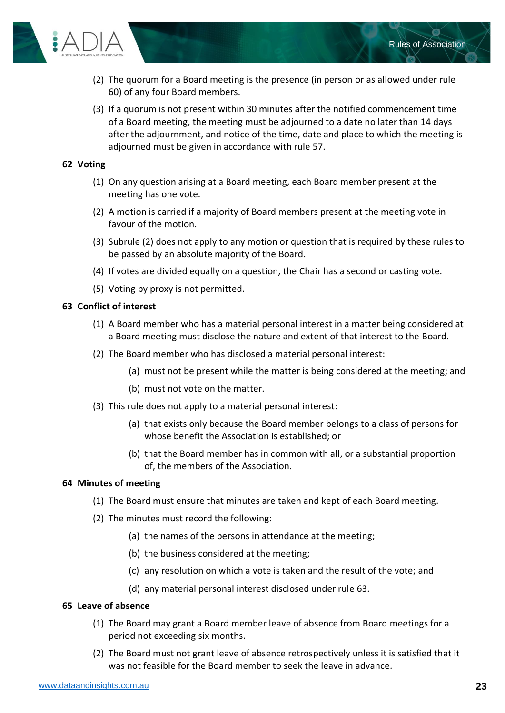

- (2) The quorum for a Board meeting is the presence (in person or as allowed under rule 60) of any four Board members.
- (3) If a quorum is not present within 30 minutes after the notified commencement time of a Board meeting, the meeting must be adjourned to a date no later than 14 days after the adjournment, and notice of the time, date and place to which the meeting is adjourned must be given in accordance with rule 57.

# <span id="page-22-0"></span>**62 Voting**

- (1) On any question arising at a Board meeting, each Board member present at the meeting has one vote.
- (2) A motion is carried if a majority of Board members present at the meeting vote in favour of the motion.
- (3) Subrule (2) does not apply to any motion or question that is required by these rules to be passed by an absolute majority of the Board.
- (4) If votes are divided equally on a question, the Chair has a second or casting vote.
- (5) Voting by proxy is not permitted.

#### <span id="page-22-1"></span>**63 Conflict of interest**

- (1) A Board member who has a material personal interest in a matter being considered at a Board meeting must disclose the nature and extent of that interest to the Board.
- (2) The Board member who has disclosed a material personal interest:
	- (a) must not be present while the matter is being considered at the meeting; and
	- (b) must not vote on the matter.
- (3) This rule does not apply to a material personal interest:
	- (a) that exists only because the Board member belongs to a class of persons for whose benefit the Association is established; or
	- (b) that the Board member has in common with all, or a substantial proportion of, the members of the Association.

#### <span id="page-22-2"></span>**64 Minutes of meeting**

- (1) The Board must ensure that minutes are taken and kept of each Board meeting.
- (2) The minutes must record the following:
	- (a) the names of the persons in attendance at the meeting;
	- (b) the business considered at the meeting;
	- (c) any resolution on which a vote is taken and the result of the vote; and
	- (d) any material personal interest disclosed under rule 63.

#### <span id="page-22-3"></span>**65 Leave of absence**

- (1) The Board may grant a Board member leave of absence from Board meetings for a period not exceeding six months.
- (2) The Board must not grant leave of absence retrospectively unless it is satisfied that it was not feasible for the Board member to seek the leave in advance.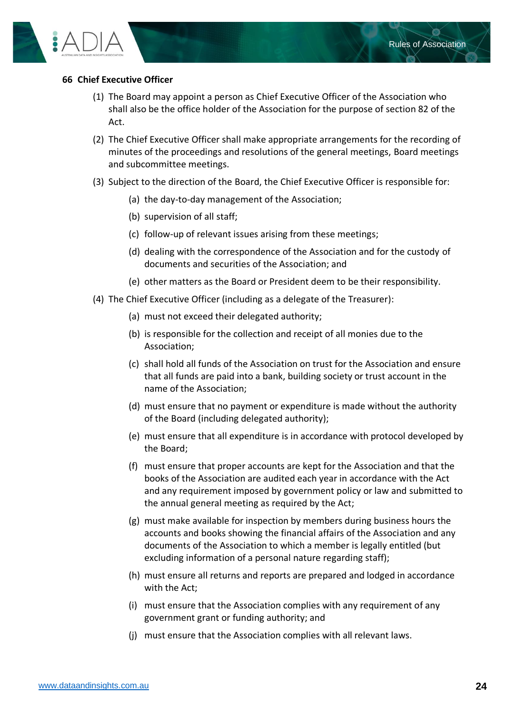

# <span id="page-23-0"></span>**66 Chief Executive Officer**

- (1) The Board may appoint a person as Chief Executive Officer of the Association who shall also be the office holder of the Association for the purpose of section 82 of the Act.
- (2) The Chief Executive Officer shall make appropriate arrangements for the recording of minutes of the proceedings and resolutions of the general meetings, Board meetings and subcommittee meetings.
- (3) Subject to the direction of the Board, the Chief Executive Officer is responsible for:
	- (a) the day-to-day management of the Association;
	- (b) supervision of all staff;
	- (c) follow-up of relevant issues arising from these meetings;
	- (d) dealing with the correspondence of the Association and for the custody of documents and securities of the Association; and
	- (e) other matters as the Board or President deem to be their responsibility.
- (4) The Chief Executive Officer (including as a delegate of the Treasurer):
	- (a) must not exceed their delegated authority;
	- (b) is responsible for the collection and receipt of all monies due to the Association;
	- (c) shall hold all funds of the Association on trust for the Association and ensure that all funds are paid into a bank, building society or trust account in the name of the Association;
	- (d) must ensure that no payment or expenditure is made without the authority of the Board (including delegated authority);
	- (e) must ensure that all expenditure is in accordance with protocol developed by the Board;
	- (f) must ensure that proper accounts are kept for the Association and that the books of the Association are audited each year in accordance with the Act and any requirement imposed by government policy or law and submitted to the annual general meeting as required by the Act;
	- (g) must make available for inspection by members during business hours the accounts and books showing the financial affairs of the Association and any documents of the Association to which a member is legally entitled (but excluding information of a personal nature regarding staff);
	- (h) must ensure all returns and reports are prepared and lodged in accordance with the Act;
	- (i) must ensure that the Association complies with any requirement of any government grant or funding authority; and
	- (j) must ensure that the Association complies with all relevant laws.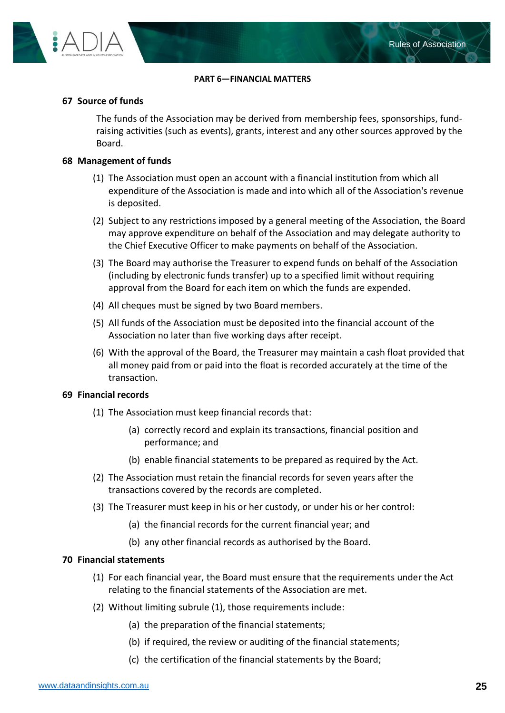

#### **PART 6—FINANCIAL MATTERS**

#### <span id="page-24-1"></span><span id="page-24-0"></span>**67 Source of funds**

The funds of the Association may be derived from membership fees, sponsorships, fundraising activities (such as events), grants, interest and any other sources approved by the Board.

## <span id="page-24-2"></span>**68 Management of funds**

- (1) The Association must open an account with a financial institution from which all expenditure of the Association is made and into which all of the Association's revenue is deposited.
- (2) Subject to any restrictions imposed by a general meeting of the Association, the Board may approve expenditure on behalf of the Association and may delegate authority to the Chief Executive Officer to make payments on behalf of the Association.
- (3) The Board may authorise the Treasurer to expend funds on behalf of the Association (including by electronic funds transfer) up to a specified limit without requiring approval from the Board for each item on which the funds are expended.
- (4) All cheques must be signed by two Board members.
- (5) All funds of the Association must be deposited into the financial account of the Association no later than five working days after receipt.
- (6) With the approval of the Board, the Treasurer may maintain a cash float provided that all money paid from or paid into the float is recorded accurately at the time of the transaction.

# <span id="page-24-3"></span>**69 Financial records**

- (1) The Association must keep financial records that:
	- (a) correctly record and explain its transactions, financial position and performance; and
	- (b) enable financial statements to be prepared as required by the Act.
- (2) The Association must retain the financial records for seven years after the transactions covered by the records are completed.
- (3) The Treasurer must keep in his or her custody, or under his or her control:
	- (a) the financial records for the current financial year; and
	- (b) any other financial records as authorised by the Board.

#### <span id="page-24-4"></span>**70 Financial statements**

- (1) For each financial year, the Board must ensure that the requirements under the Act relating to the financial statements of the Association are met.
- (2) Without limiting subrule (1), those requirements include:
	- (a) the preparation of the financial statements;
	- (b) if required, the review or auditing of the financial statements;
	- (c) the certification of the financial statements by the Board;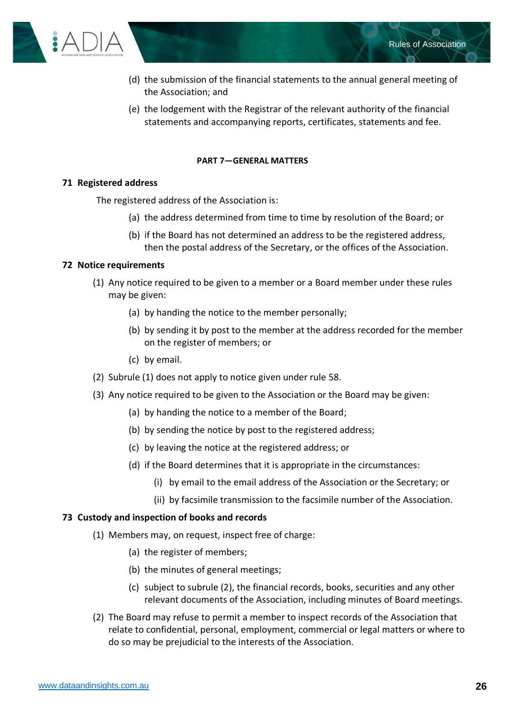

- (d) the submission of the financial statements to the annual general meeting of the Association; and
- (e) the lodgement with the Registrar of the relevant authority of the financial statements and accompanying reports, certificates, statements and fee.

#### **PART 7—GENERAL MATTERS**

#### <span id="page-25-1"></span><span id="page-25-0"></span>**71 Registered address**

The registered address of the Association is:

- (a) the address determined from time to time by resolution of the Board; or
- (b) if the Board has not determined an address to be the registered address, then the postal address of the Secretary, or the offices of the Association.

#### <span id="page-25-2"></span>**72 Notice requirements**

- (1) Any notice required to be given to a member or a Board member under these rules may be given:
	- (a) by handing the notice to the member personally;
	- (b) by sending it by post to the member at the address recorded for the member on the register of members; or
	- (c) by email.
- (2) Subrule (1) does not apply to notice given under rule [58.](#page-21-3)
- (3) Any notice required to be given to the Association or the Board may be given:
	- (a) by handing the notice to a member of the Board;
	- (b) by sending the notice by post to the registered address;
	- (c) by leaving the notice at the registered address; or
	- (d) if the Board determines that it is appropriate in the circumstances:
		- (i) by email to the email address of the Association or the Secretary; or
		- (ii) by facsimile transmission to the facsimile number of the Association.

#### <span id="page-25-3"></span>**73 Custody and inspection of books and records**

- (1) Members may, on request, inspect free of charge:
	- (a) the register of members;
	- (b) the minutes of general meetings;
	- (c) subject to subrule (2), the financial records, books, securities and any other relevant documents of the Association, including minutes of Board meetings.
- (2) The Board may refuse to permit a member to inspect records of the Association that relate to confidential, personal, employment, commercial or legal matters or where to do so may be prejudicial to the interests of the Association.